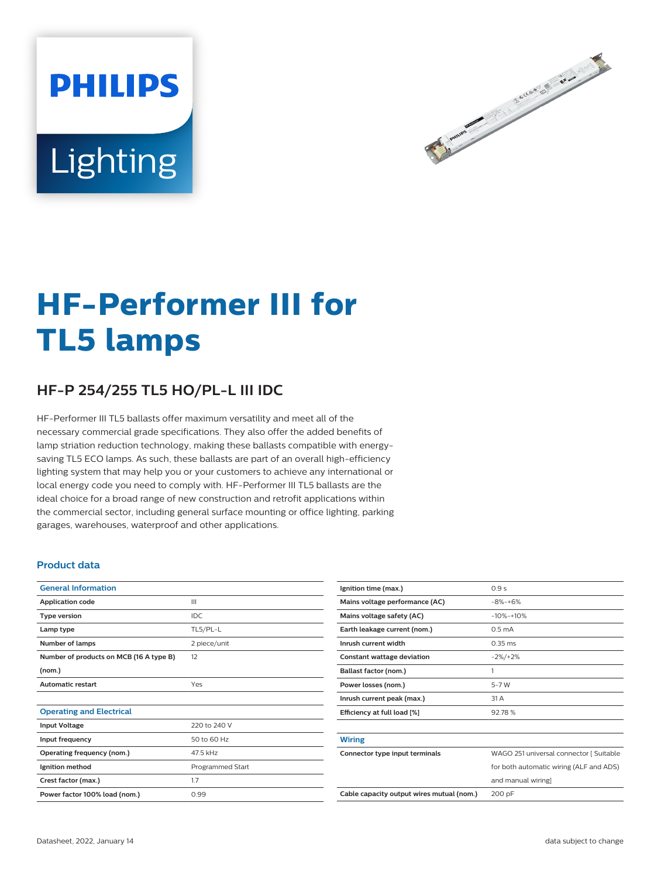# **PHILIPS** Lighting



# **HF-Performer III for TL5 lamps**

# **HF-P 254/255 TL5 HO/PL-L III IDC**

HF-Performer III TL5 ballasts offer maximum versatility and meet all of the necessary commercial grade specifications. They also offer the added benefits of lamp striation reduction technology, making these ballasts compatible with energysaving TL5 ECO lamps. As such, these ballasts are part of an overall high-efficiency lighting system that may help you or your customers to achieve any international or local energy code you need to comply with. HF-Performer III TL5 ballasts are the ideal choice for a broad range of new construction and retrofit applications within the commercial sector, including general surface mounting or office lighting, parking garages, warehouses, waterproof and other applications.

#### **Product data**

| <b>General Information</b>              |                  |  |  |
|-----------------------------------------|------------------|--|--|
| <b>Application code</b>                 | Ш                |  |  |
| <b>Type version</b>                     | IDC              |  |  |
| Lamp type                               | TL5/PL-L         |  |  |
| Number of lamps                         | 2 piece/unit     |  |  |
| Number of products on MCB (16 A type B) | 12               |  |  |
| (nom.)                                  |                  |  |  |
| <b>Automatic restart</b>                | Yes              |  |  |
|                                         |                  |  |  |
| <b>Operating and Electrical</b>         |                  |  |  |
| <b>Input Voltage</b>                    | 220 to 240 V     |  |  |
| Input frequency                         | 50 to 60 Hz      |  |  |
| Operating frequency (nom.)              | 47.5 kHz         |  |  |
| Ignition method                         | Programmed Start |  |  |
| Crest factor (max.)                     | 1.7              |  |  |
| Power factor 100% load (nom.)           | 0.99             |  |  |
|                                         |                  |  |  |

| Ignition time (max.)                      | 0.9s                                    |  |  |  |
|-------------------------------------------|-----------------------------------------|--|--|--|
| Mains voltage performance (AC)            | $-8% -+6%$                              |  |  |  |
| Mains voltage safety (AC)                 | $-10% -10%$                             |  |  |  |
| Earth leakage current (nom.)              | 0.5 <sub>m</sub> A                      |  |  |  |
| Inrush current width                      | $0.35 \, \text{ms}$                     |  |  |  |
| <b>Constant wattage deviation</b>         | $-2\%/+2\%$                             |  |  |  |
| Ballast factor (nom.)                     | 1                                       |  |  |  |
| Power losses (nom.)                       | $5-7W$                                  |  |  |  |
| Inrush current peak (max.)                | 31 A                                    |  |  |  |
| Efficiency at full load [%]               | 92.78%                                  |  |  |  |
|                                           |                                         |  |  |  |
| <b>Wiring</b>                             |                                         |  |  |  |
| Connector type input terminals            | WAGO 251 universal connector [ Suitable |  |  |  |
|                                           | for both automatic wiring (ALF and ADS) |  |  |  |
|                                           | and manual wiring]                      |  |  |  |
| Cable capacity output wires mutual (nom.) | 200 pF                                  |  |  |  |
|                                           |                                         |  |  |  |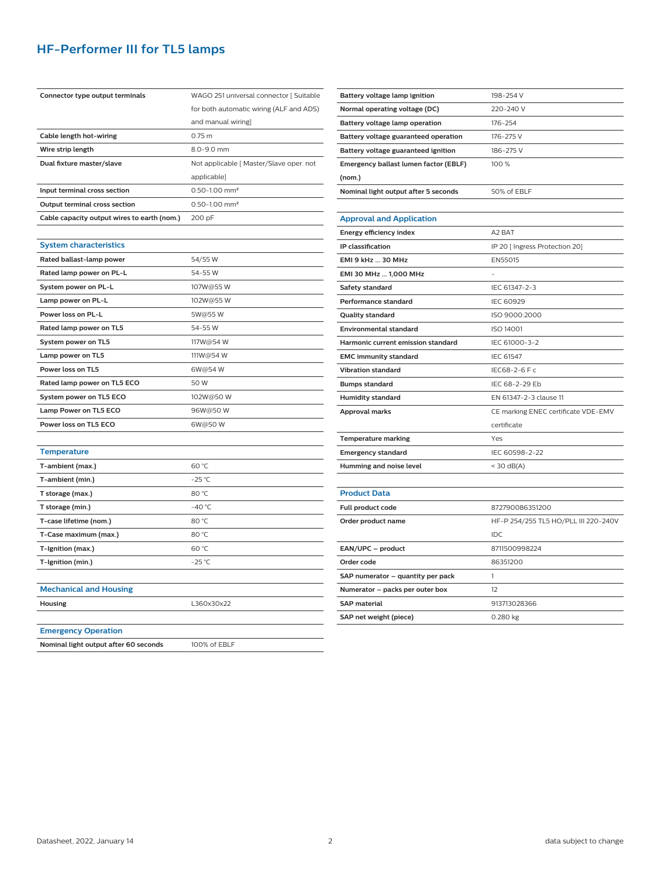## **HF-Performer III for TL5 lamps**

| Connector type output terminals             | WAGO 251 universal connector [ Suitable |  |  |  |  |
|---------------------------------------------|-----------------------------------------|--|--|--|--|
|                                             | for both automatic wiring (ALF and ADS) |  |  |  |  |
|                                             | and manual wiring]                      |  |  |  |  |
| Cable length hot-wiring                     | 0.75 <sub>m</sub>                       |  |  |  |  |
| Wire strip length                           | 8.0-9.0 mm                              |  |  |  |  |
| Dual fixture master/slave                   | Not applicable [ Master/Slave oper. not |  |  |  |  |
|                                             | applicable]                             |  |  |  |  |
| Input terminal cross section                | $0.50 - 1.00$ mm <sup>2</sup>           |  |  |  |  |
| Output terminal cross section               | 0.50-1.00 mm <sup>2</sup>               |  |  |  |  |
| Cable capacity output wires to earth (nom.) | 200 pF                                  |  |  |  |  |
|                                             |                                         |  |  |  |  |
| <b>System characteristics</b>               |                                         |  |  |  |  |
| Rated ballast-lamp power                    | 54/55W                                  |  |  |  |  |
| Rated lamp power on PL-L                    | 54-55 W                                 |  |  |  |  |
| System power on PL-L                        | 107W@55W                                |  |  |  |  |
| Lamp power on PL-L                          | 102W@55W                                |  |  |  |  |
| Power loss on PL-L                          | 5W@55W                                  |  |  |  |  |
| Rated lamp power on TL5                     | 54-55 W                                 |  |  |  |  |
| System power on TL5                         | 117W@54W                                |  |  |  |  |
| Lamp power on TL5                           | 111W@54W                                |  |  |  |  |
| Power loss on TL5                           | 6W@54W                                  |  |  |  |  |
| Rated lamp power on TL5 ECO                 | 50 W                                    |  |  |  |  |
| System power on TL5 ECO                     | 102W@50W                                |  |  |  |  |
| Lamp Power on TL5 ECO                       | 96W@50W                                 |  |  |  |  |
| Power loss on TL5 ECO                       | 6W@50W                                  |  |  |  |  |
|                                             |                                         |  |  |  |  |
| <b>Temperature</b>                          |                                         |  |  |  |  |
| T-ambient (max.)                            | 60 °C                                   |  |  |  |  |
| T-ambient (min.)                            | $-25$ °C                                |  |  |  |  |
| T storage (max.)                            | 80 °C                                   |  |  |  |  |
| T storage (min.)                            | $-40 °C$                                |  |  |  |  |
| T-case lifetime (nom.)                      | 80 °C                                   |  |  |  |  |
| T-Case maximum (max.)                       | 80 °C                                   |  |  |  |  |
| T-Ignition (max.)                           | 60 °C                                   |  |  |  |  |
| T-Ignition (min.)                           | $-25$ °C                                |  |  |  |  |
|                                             |                                         |  |  |  |  |
| <b>Mechanical and Housing</b>               |                                         |  |  |  |  |
| <b>Housing</b>                              | L360x30x22                              |  |  |  |  |
|                                             |                                         |  |  |  |  |
| <b>Emergency Operation</b>                  |                                         |  |  |  |  |
| Nominal light output after 60 seconds       | 100% of EBLF                            |  |  |  |  |

| Battery voltage lamp ignition         | 198-254 V                                                            |  |  |  |  |  |  |  |  |
|---------------------------------------|----------------------------------------------------------------------|--|--|--|--|--|--|--|--|
| Normal operating voltage (DC)         | 220-240 V<br>176-254<br>176-275 V<br>186-275V                        |  |  |  |  |  |  |  |  |
| Battery voltage lamp operation        |                                                                      |  |  |  |  |  |  |  |  |
| Battery voltage guaranteed operation  |                                                                      |  |  |  |  |  |  |  |  |
| Battery voltage guaranteed ignition   |                                                                      |  |  |  |  |  |  |  |  |
| Emergency ballast lumen factor (EBLF) | 100 %                                                                |  |  |  |  |  |  |  |  |
| (nom.)                                |                                                                      |  |  |  |  |  |  |  |  |
| Nominal light output after 5 seconds  | 50% of EBLF                                                          |  |  |  |  |  |  |  |  |
|                                       |                                                                      |  |  |  |  |  |  |  |  |
| <b>Approval and Application</b>       |                                                                      |  |  |  |  |  |  |  |  |
| Energy efficiency index               | A2 BAT                                                               |  |  |  |  |  |  |  |  |
| IP classification                     | IP 20 [ Ingress Protection 20]                                       |  |  |  |  |  |  |  |  |
| EMI 9 kHz  30 MHz                     | EN55015                                                              |  |  |  |  |  |  |  |  |
| EMI 30 MHz  1,000 MHz                 |                                                                      |  |  |  |  |  |  |  |  |
| Safety standard                       | IEC 61347-2-3                                                        |  |  |  |  |  |  |  |  |
| <b>Performance standard</b>           | <b>IEC 60929</b>                                                     |  |  |  |  |  |  |  |  |
| <b>Quality standard</b>               | ISO 9000:2000                                                        |  |  |  |  |  |  |  |  |
| <b>Environmental standard</b>         | ISO 14001                                                            |  |  |  |  |  |  |  |  |
| Harmonic current emission standard    | IEC 61000-3-2<br><b>IEC 61547</b><br>IEC68-2-6 F c<br>IEC 68-2-29 Eb |  |  |  |  |  |  |  |  |
| <b>EMC immunity standard</b>          |                                                                      |  |  |  |  |  |  |  |  |
| <b>Vibration standard</b>             |                                                                      |  |  |  |  |  |  |  |  |
| <b>Bumps standard</b>                 |                                                                      |  |  |  |  |  |  |  |  |
| <b>Humidity standard</b>              | EN 61347-2-3 clause 11                                               |  |  |  |  |  |  |  |  |
| Approval marks                        | CE marking ENEC certificate VDE-EMV                                  |  |  |  |  |  |  |  |  |
|                                       | certificate                                                          |  |  |  |  |  |  |  |  |
| <b>Temperature marking</b>            | Yes                                                                  |  |  |  |  |  |  |  |  |
| <b>Emergency standard</b>             | IEC 60598-2-22                                                       |  |  |  |  |  |  |  |  |
| Humming and noise level               | $<$ 30 dB(A)                                                         |  |  |  |  |  |  |  |  |
|                                       |                                                                      |  |  |  |  |  |  |  |  |
| <b>Product Data</b>                   |                                                                      |  |  |  |  |  |  |  |  |
| <b>Full product code</b>              | 872790086351200                                                      |  |  |  |  |  |  |  |  |
| Order product name                    | HF-P 254/255 TL5 HO/PLL III 220-240V                                 |  |  |  |  |  |  |  |  |
|                                       | IDC                                                                  |  |  |  |  |  |  |  |  |
| EAN/UPC - product                     | 8711500998224                                                        |  |  |  |  |  |  |  |  |
| Order code                            | 86351200                                                             |  |  |  |  |  |  |  |  |
| SAP numerator - quantity per pack     | 1                                                                    |  |  |  |  |  |  |  |  |
| Numerator - packs per outer box       | 12                                                                   |  |  |  |  |  |  |  |  |
| <b>SAP</b> material                   | 913713028366                                                         |  |  |  |  |  |  |  |  |
| SAP net weight (piece)                | 0.280 kg                                                             |  |  |  |  |  |  |  |  |